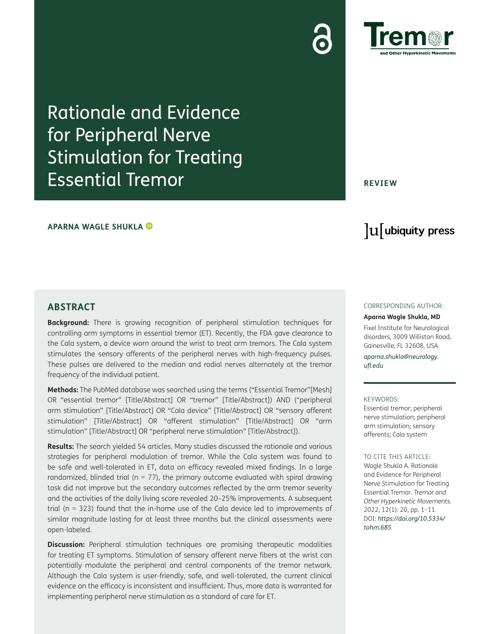Rationale and Evidence for Peripheral Nerve Stimulation for Treating Essential Tremor

### **APARNA WAGLE SHUKLA**

**REVIEW**

# lu ubiquity press

# **ABSTRACT**

**Background:** There is growing recognition of peripheral stimulation techniques for controlling arm symptoms in essential tremor (ET). Recently, the FDA gave clearance to the Cala system, a device worn around the wrist to treat arm tremors. The Cala system stimulates the sensory afferents of the peripheral nerves with high-frequency pulses. These pulses are delivered to the median and radial nerves alternately at the tremor frequency of the individual patient.

**Methods:** The PubMed database was searched using the terms ("Essential Tremor"[Mesh] OR "essential tremor" [Title/Abstract] OR "tremor" [Title/Abstract]) AND ("peripheral arm stimulation" [Title/Abstract] OR "Cala device" [Title/Abstract] OR "sensory afferent stimulation" [Title/Abstract] OR "afferent stimulation" [Title/Abstract] OR "arm stimulation" [Title/Abstract] OR "peripheral nerve stimulation" [Title/Abstract]).

**Results:** The search yielded 54 articles. Many studies discussed the rationale and various strategies for peripheral modulation of tremor. While the Cala system was found to be safe and well-tolerated in ET, data on efficacy revealed mixed findings. In a large randomized, blinded trial ( $n = 77$ ), the primary outcome evaluated with spiral drawing task did not improve but the secondary outcomes reflected by the arm tremor severity and the activities of the daily living score revealed 20–25% improvements. A subsequent trial (n = 323) found that the in-home use of the Cala device led to improvements of similar magnitude lasting for at least three months but the clinical assessments were open-labeled.

**Discussion:** Peripheral stimulation techniques are promising therapeutic modalities for treating ET symptoms. Stimulation of sensory afferent nerve fibers at the wrist can potentially modulate the peripheral and central components of the tremor network. Although the Cala system is user-friendly, safe, and well-tolerated, the current clinical evidence on the efficacy is inconsistent and insufficient. Thus, more data is warranted for implementing peripheral nerve stimulation as a standard of care for ET.

#### CORRESPONDING AUTHOR:

#### **Aparna Wagle Shukla, MD** Fixel Institute for Neurological disorders, 3009 Williston Road, Gainesville, FL 32608, USA

*[aparna.shukla@neurology.](mailto:aparna.shukla@neurology.u<FB02>.edu) [ufl.edu](mailto:aparna.shukla@neurology.u<FB02>.edu)*

#### KEYWORDS:

Essential tremor; peripheral nerve stimulation; peripheral arm stimulation; sensory afferents; Cala system

#### TO CITE THIS ARTICLE:

Wagle Shukla A. Rationale and Evidence for Peripheral Nerve Stimulation for Treating Essential Tremor. *Tremor and Other Hyperkinetic Movements.* 2022; 12(1): 20, pp. 1–11. DOI: *[https://doi.org/10.5334/](https://doi.org/10.5334/tohm.685) [tohm.685](https://doi.org/10.5334/tohm.685)*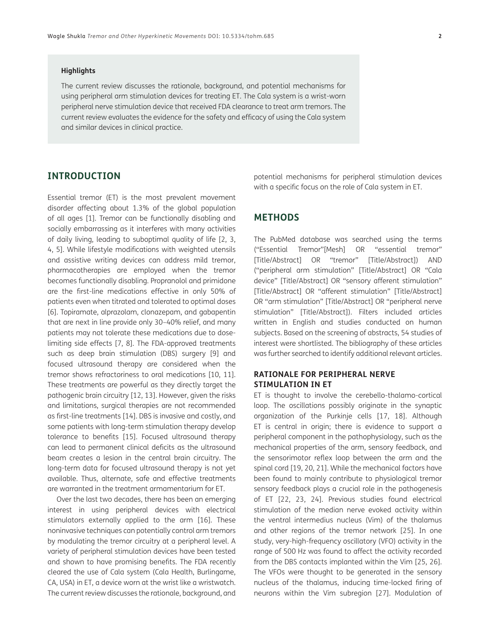#### **Highlights**

The current review discusses the rationale, background, and potential mechanisms for using peripheral arm stimulation devices for treating ET. The Cala system is a wrist-worn peripheral nerve stimulation device that received FDA clearance to treat arm tremors. The current review evaluates the evidence for the safety and efficacy of using the Cala system and similar devices in clinical practice.

# **INTRODUCTION**

Essential tremor (ET) is the most prevalent movement disorder affecting about 1.3% of the global population of all ages [\[1](#page-8-0)]. Tremor can be functionally disabling and socially embarrassing as it interferes with many activities of daily living, leading to suboptimal quality of life [\[2](#page-8-1), [3](#page-8-2), [4,](#page-8-3) [5](#page-8-4)]. While lifestyle modifications with weighted utensils and assistive writing devices can address mild tremor, pharmacotherapies are employed when the tremor becomes functionally disabling. Propranolol and primidone are the first-line medications effective in only 50% of patients even when titrated and tolerated to optimal doses [\[6\]](#page-8-5). Topiramate, alprazolam, clonazepam, and gabapentin that are next in line provide only 30–40% relief, and many patients may not tolerate these medications due to doselimiting side effects [[7,](#page-8-6) [8\]](#page-8-7). The FDA-approved treatments such as deep brain stimulation (DBS) surgery [[9\]](#page-8-8) and focused ultrasound therapy are considered when the tremor shows refractoriness to oral medications [\[10,](#page-8-9) [11\]](#page-8-10). These treatments are powerful as they directly target the pathogenic brain circuitry [\[12,](#page-8-11) [13](#page-8-12)]. However, given the risks and limitations, surgical therapies are not recommended as first-line treatments [\[14\]](#page-8-13). DBS is invasive and costly, and some patients with long-term stimulation therapy develop tolerance to benefits [\[15\]](#page-8-14). Focused ultrasound therapy can lead to permanent clinical deficits as the ultrasound beam creates a lesion in the central brain circuitry. The long-term data for focused ultrasound therapy is not yet available. Thus, alternate, safe and effective treatments are warranted in the treatment armamentarium for ET.

Over the last two decades, there has been an emerging interest in using peripheral devices with electrical stimulators externally applied to the arm [[16](#page-8-15)]. These noninvasive techniques can potentially control arm tremors by modulating the tremor circuitry at a peripheral level. A variety of peripheral stimulation devices have been tested and shown to have promising benefits. The FDA recently cleared the use of Cala system (Cala Health, Burlingame, CA, USA) in ET, a device worn at the wrist like a wristwatch. The current review discusses the rationale, background, and

potential mechanisms for peripheral stimulation devices with a specific focus on the role of Cala system in ET.

# **METHODS**

The PubMed database was searched using the terms ("Essential Tremor"[Mesh] OR "essential tremor" [Title/Abstract] OR "tremor" [Title/Abstract]) AND ("peripheral arm stimulation" [Title/Abstract] OR "Cala device" [Title/Abstract] OR "sensory afferent stimulation" [Title/Abstract] OR "afferent stimulation" [Title/Abstract] OR "arm stimulation" [Title/Abstract] OR "peripheral nerve stimulation" [Title/Abstract]). Filters included articles written in English and studies conducted on human subjects. Based on the screening of abstracts, 54 studies of interest were shortlisted. The bibliography of these articles was further searched to identify additional relevant articles.

# **RATIONALE FOR PERIPHERAL NERVE STIMULATION IN ET**

ET is thought to involve the cerebello-thalamo-cortical loop. The oscillations possibly originate in the synaptic organization of the Purkinje cells [\[17,](#page-8-16) [18\]](#page-9-0). Although ET is central in origin; there is evidence to support a peripheral component in the pathophysiology, such as the mechanical properties of the arm, sensory feedback, and the sensorimotor reflex loop between the arm and the spinal cord [[19](#page-9-1), [20](#page-9-2), [21\]](#page-9-3). While the mechanical factors have been found to mainly contribute to physiological tremor sensory feedback plays a crucial role in the pathogenesis of ET [[22](#page-9-4), [23](#page-9-5), [24](#page-9-6)]. Previous studies found electrical stimulation of the median nerve evoked activity within the ventral intermedius nucleus (Vim) of the thalamus and other regions of the tremor network [\[25\]](#page-9-7). In one study, very-high-frequency oscillatory (VFO) activity in the range of 500 Hz was found to affect the activity recorded from the DBS contacts implanted within the Vim [[25,](#page-9-7) [26](#page-9-8)]. The VFOs were thought to be generated in the sensory nucleus of the thalamus, inducing time-locked firing of neurons within the Vim subregion [[27](#page-9-9)]. Modulation of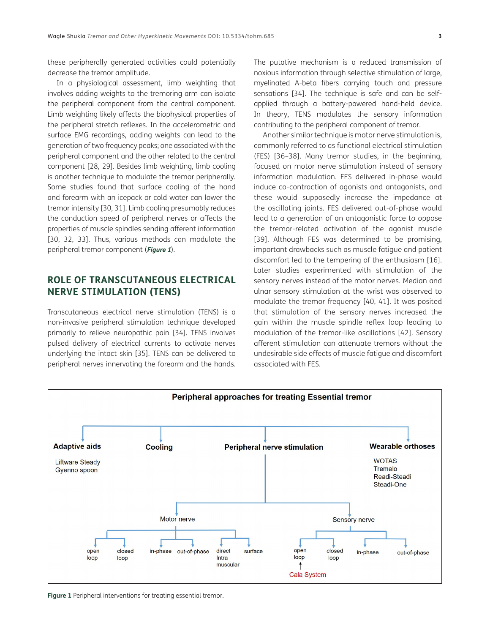these peripherally generated activities could potentially decrease the tremor amplitude.

In a physiological assessment, limb weighting that involves adding weights to the tremoring arm can isolate the peripheral component from the central component. Limb weighting likely affects the biophysical properties of the peripheral stretch reflexes. In the accelerometric and surface EMG recordings, adding weights can lead to the generation of two frequency peaks; one associated with the peripheral component and the other related to the central component [\[28](#page-9-10), [29](#page-9-11)]. Besides limb weighting, limb cooling is another technique to modulate the tremor peripherally. Some studies found that surface cooling of the hand and forearm with an icepack or cold water can lower the tremor intensity [[30](#page-9-12), [31\]](#page-9-13). Limb cooling presumably reduces the conduction speed of peripheral nerves or affects the properties of muscle spindles sending afferent information [\[30,](#page-9-12) [32](#page-9-14), [33](#page-9-15)]. Thus, various methods can modulate the peripheral tremor component (**[Figure 1](#page-2-0)**).

# **ROLE OF TRANSCUTANEOUS ELECTRICAL NERVE STIMULATION (TENS)**

Transcutaneous electrical nerve stimulation (TENS) is a non-invasive peripheral stimulation technique developed primarily to relieve neuropathic pain [[34](#page-9-16)]. TENS involves pulsed delivery of electrical currents to activate nerves underlying the intact skin [[35](#page-9-17)]. TENS can be delivered to peripheral nerves innervating the forearm and the hands. The putative mechanism is a reduced transmission of noxious information through selective stimulation of large, myelinated A-beta fibers carrying touch and pressure sensations [\[34\]](#page-9-16). The technique is safe and can be selfapplied through a battery-powered hand-held device. In theory, TENS modulates the sensory information contributing to the peripheral component of tremor.

Another similar technique is motor nerve stimulation is, commonly referred to as functional electrical stimulation (FES) [[36](#page-9-18)–[38](#page-9-19)]. Many tremor studies, in the beginning, focused on motor nerve stimulation instead of sensory information modulation. FES delivered in-phase would induce co-contraction of agonists and antagonists, and these would supposedly increase the impedance at the oscillating joints. FES delivered out-of-phase would lead to a generation of an antagonistic force to oppose the tremor-related activation of the agonist muscle [\[39](#page-9-20)]. Although FES was determined to be promising, important drawbacks such as muscle fatigue and patient discomfort led to the tempering of the enthusiasm [[16](#page-8-15)]. Later studies experimented with stimulation of the sensory nerves instead of the motor nerves. Median and ulnar sensory stimulation at the wrist was observed to modulate the tremor frequency [[40,](#page-9-21) [41\]](#page-10-0). It was posited that stimulation of the sensory nerves increased the gain within the muscle spindle reflex loop leading to modulation of the tremor-like oscillations [\[42](#page-10-1)]. Sensory afferent stimulation can attenuate tremors without the undesirable side effects of muscle fatigue and discomfort associated with FES.



<span id="page-2-0"></span>**Figure 1** Peripheral interventions for treating essential tremor.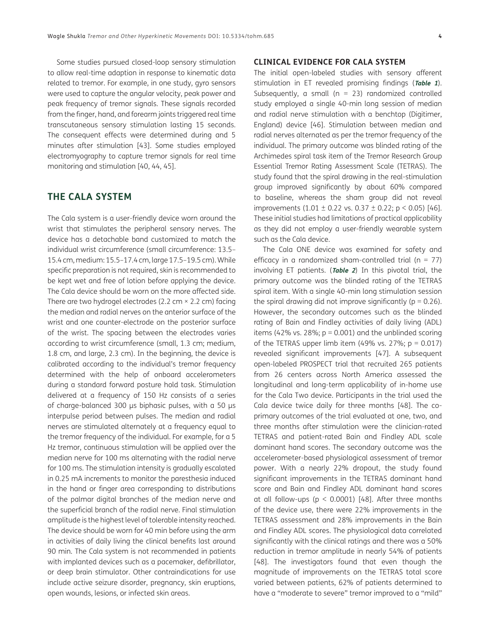Some studies pursued closed-loop sensory stimulation to allow real-time adaption in response to kinematic data related to tremor. For example, in one study, gyro sensors were used to capture the angular velocity, peak power and peak frequency of tremor signals. These signals recorded from the finger, hand, and forearm joints triggered real time transcutaneous sensory stimulation lasting 15 seconds. The consequent effects were determined during and 5 minutes after stimulation [\[43](#page-10-2)]. Some studies employed electromyography to capture tremor signals for real time monitoring and stimulation [[40](#page-9-21), [44,](#page-10-3) [45\]](#page-10-4).

# **THE CALA SYSTEM**

The Cala system is a user-friendly device worn around the wrist that stimulates the peripheral sensory nerves. The device has a detachable band customized to match the individual wrist circumference (small circumference: 13.5– 15.4 cm, medium: 15.5–17.4 cm, large 17.5–19.5 cm). While specific preparation is not required, skin is recommended to be kept wet and free of lotion before applying the device. The Cala device should be worn on the more affected side. There are two hydrogel electrodes (2.2 cm  $\times$  2.2 cm) facing the median and radial nerves on the anterior surface of the wrist and one counter-electrode on the posterior surface of the wrist. The spacing between the electrodes varies according to wrist circumference (small, 1.3 cm; medium, 1.8 cm, and large, 2.3 cm). In the beginning, the device is calibrated according to the individual's tremor frequency determined with the help of onboard accelerometers during a standard forward posture hold task. Stimulation delivered at a frequency of 150 Hz consists of a series of charge-balanced 300 μs biphasic pulses, with a 50 μs interpulse period between pulses. The median and radial nerves are stimulated alternately at a frequency equal to the tremor frequency of the individual. For example, for a 5 Hz tremor, continuous stimulation will be applied over the median nerve for 100 ms alternating with the radial nerve for 100 ms. The stimulation intensity is gradually escalated in 0.25 mA increments to monitor the paresthesia induced in the hand or finger area corresponding to distributions of the palmar digital branches of the median nerve and the superficial branch of the radial nerve. Final stimulation amplitude is the highest level of tolerable intensity reached. The device should be worn for 40 min before using the arm in activities of daily living the clinical benefits last around 90 min. The Cala system is not recommended in patients with implanted devices such as a pacemaker, defibrillator, or deep brain stimulator. Other contraindications for use include active seizure disorder, pregnancy, skin eruptions, open wounds, lesions, or infected skin areas.

## **CLINICAL EVIDENCE FOR CALA SYSTEM**

The initial open-labeled studies with sensory afferent stimulation in ET revealed promising findings (**[Table 1](#page-4-0)**). Subsequently, a small ( $n = 23$ ) randomized controlled study employed a single 40-min long session of median and radial nerve stimulation with a benchtop (Digitimer, England) device [[46](#page-10-5)]. Stimulation between median and radial nerves alternated as per the tremor frequency of the individual. The primary outcome was blinded rating of the Archimedes spiral task item of the Tremor Research Group Essential Tremor Rating Assessment Scale (TETRAS). The study found that the spiral drawing in the real-stimulation group improved significantly by about 60% compared to baseline, whereas the sham group did not reveal improvements  $(1.01 \pm 0.22 \text{ vs. } 0.37 \pm 0.22 \text{ ; p} < 0.05)$  [\[46](#page-10-5)]. These initial studies had limitations of practical applicability as they did not employ a user-friendly wearable system such as the Cala device.

The Cala ONE device was examined for safety and efficacy in a randomized sham-controlled trial ( $n = 77$ ) involving ET patients. (**[Table 2](#page-5-0)**) In this pivotal trial, the primary outcome was the blinded rating of the TETRAS spiral item. With a single 40-min long stimulation session the spiral drawing did not improve significantly ( $p = 0.26$ ). However, the secondary outcomes such as the blinded rating of Bain and Findley activities of daily living (ADL) items (42% vs. 28%;  $p = 0.001$ ) and the unblinded scoring of the TETRAS upper limb item (49% vs. 27%;  $p = 0.017$ ) revealed significant improvements [[47](#page-10-6)]. A subsequent open-labeled PROSPECT trial that recruited 265 patients from 26 centers across North America assessed the longitudinal and long-term applicability of in-home use for the Cala Two device. Participants in the trial used the Cala device twice daily for three months [[48\]](#page-10-7). The coprimary outcomes of the trial evaluated at one, two, and three months after stimulation were the clinician-rated TETRAS and patient-rated Bain and Findley ADL scale dominant hand scores. The secondary outcome was the accelerometer-based physiological assessment of tremor power. With a nearly 22% dropout, the study found significant improvements in the TETRAS dominant hand score and Bain and Findley ADL dominant hand scores at all follow-ups ( $p < 0.0001$ ) [\[48\]](#page-10-7). After three months of the device use, there were 22% improvements in the TETRAS assessment and 28% improvements in the Bain and Findley ADL scores. The physiological data correlated significantly with the clinical ratings and there was a 50% reduction in tremor amplitude in nearly 54% of patients [\[48\]](#page-10-7). The investigators found that even though the magnitude of improvements on the TETRAS total score varied between patients, 62% of patients determined to have a "moderate to severe" tremor improved to a "mild"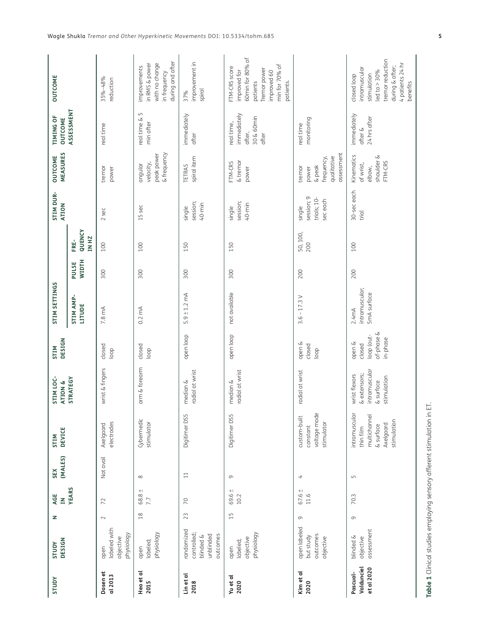<span id="page-4-0"></span>

| STUDY                                | DESIGN<br>STUDY                                                 | z        | AGE<br>$\leq$          | (MALES)<br>SEX           | <b>DEVICE</b><br>STIM                                                               | STIM LOC-<br>ATION &                                                       | DESIGN<br>STIM                                           | STIM SETTINGS                             |                       |                         | STIM DUR-<br><b>ATION</b>                         | MEASURES<br><b>OUTCOME</b>                                           | <b>TIMING OF</b><br>OUTCOME                                | <b>OUTCOME</b>                                                                                                                        |
|--------------------------------------|-----------------------------------------------------------------|----------|------------------------|--------------------------|-------------------------------------------------------------------------------------|----------------------------------------------------------------------------|----------------------------------------------------------|-------------------------------------------|-----------------------|-------------------------|---------------------------------------------------|----------------------------------------------------------------------|------------------------------------------------------------|---------------------------------------------------------------------------------------------------------------------------------------|
|                                      |                                                                 |          | <b>YEARS</b>           |                          |                                                                                     | STRATEGY                                                                   |                                                          | STIM AMP-<br>LITUDE                       | <b>WIDTH</b><br>PULSE | QUENCY<br>IN HZ<br>FRE- |                                                   |                                                                      | ASSESSMENT                                                 |                                                                                                                                       |
| Dosen et<br>al 2013                  | labeled with<br>physiology<br>objective<br>open                 | $\sim$   | 72                     | Not avail                | electrodes<br>Axelgaard                                                             | wrist & fingers                                                            | closed<br>loop                                           | 7.8 mA                                    | 300                   | 100                     | 2 sec                                             | tremor<br>power                                                      | real time                                                  | 35%-48%<br>reduction                                                                                                                  |
| Heo et al<br>2015                    | physiology<br>labeled;<br>open                                  | $^{26}$  | $+1$<br>68.8<br>7.7    | $\infty$                 | Cybermedic<br>stimulator                                                            | arm & forearm                                                              | closed<br>loop                                           | $0.2 \text{ mA}$                          | 300                   | 100                     | 15 sec                                            | & frequency<br>peak power<br>velocity,<br>angular                    | S<br>real time &<br>min after                              | during and after<br>with no change<br>in RMS & power<br>improvements<br>in frequency                                                  |
| Lin et al<br>2018                    | randomized<br>controlled;<br>outcomes<br>unblinded<br>blinded & | 23       | $\overline{C}$         | $\Xi$                    | Digitimer DS5                                                                       | radial at wrist<br>median &                                                | open loop                                                | $5.9 \pm 1.2$ mA                          | 300                   | 150                     | session;<br>$40$ -min<br>single                   | spiral item<br>TETRAS                                                | immediately<br>after                                       | improvement in<br>spiral<br>37%                                                                                                       |
| Yu et al<br>2020                     | physiology<br>objective<br>labeled;<br>open                     | 15       | $^{+}$<br>69.6<br>10.2 | $\sigma$                 | Digitimer DS5                                                                       | radial at wrist<br>median &                                                | open loop                                                | not available                             | 300                   | 150                     | session;<br>$40$ -min<br>single                   | & tremor<br>FTM-CRS<br>power                                         | immediately<br>30 & 60min<br>real time,<br>after,<br>after | 60min for 80% of<br>min for 70% of<br>FTM-CRS score<br>Tremor power<br>improved for<br>improved 60<br>patients<br>patients.           |
| Kim et al<br>2020                    | open labeled<br>outcomes<br>but study<br>objective              | $\sigma$ | $67.6 \pm$<br>11.6     | $\overline{\phantom{a}}$ | voltage mode<br>custom-built<br>stimulator<br>constant                              | radial at wrist                                                            | open &<br>closed<br>loop                                 | $3.6 - 17.3 V$                            | 200                   | 50, 100,<br>200         | session; 9<br>trials; $10-$<br>sec each<br>single | assessment<br>frequency,<br>qualitative<br>& peak<br>tremor<br>power | monitoring<br>real time                                    |                                                                                                                                       |
| Valdunciel<br>et al 2020<br>Pascual- | assessment<br>blinded &<br>objective                            | $\circ$  | 70.3                   | $\mathsf{L}\cap$         | intramuscular<br>multichannel<br>stimulation<br>Axelgaard<br>& surface<br>thin film | intramuscular<br>& extensors;<br>wrist flexors<br>stimulation<br>& surface | of-phase &<br>loop (out-<br>in-phase<br>open &<br>closed | intramuscular;<br>5mA surface<br>$2.4$ mA | 200                   | 100                     | 30-seceach<br>trial                               | shoulder &<br>Kinematics<br>FTM-CRS<br>of wrist,<br>elbow,           | immediately<br>24 hrs after<br>after &                     | tremor reduction<br>4 patients 24 hr<br>during & after;<br>intramuscular<br>led to $> 30\%$<br>stimulation<br>closed loop<br>benefits |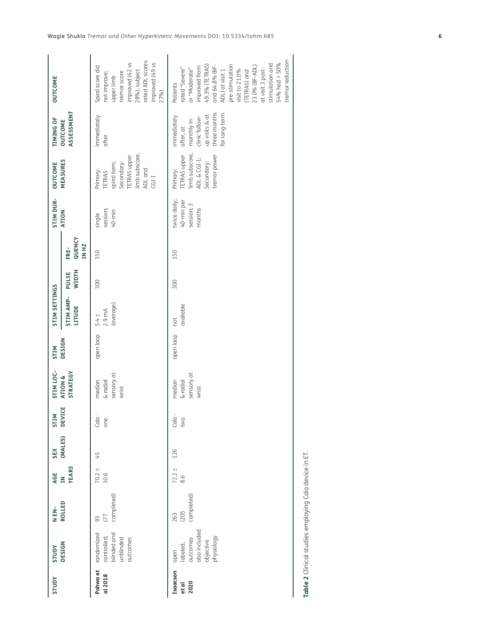| <b>AdnlS</b>              | <b>AUDIS</b>                                                             | N EN-                     | AGE                | SEX            | STIM            | STIM LOC-                                 | <b>NILS</b> | STIM SETTINGS                            |                       |                         | STIM DUR-                                          | OUTCOME                                                                                                         | <b>TIMING OF</b>                                                                                             | <b>OUTCOME</b>                                                                                                                                                                                                                                                        |
|---------------------------|--------------------------------------------------------------------------|---------------------------|--------------------|----------------|-----------------|-------------------------------------------|-------------|------------------------------------------|-----------------------|-------------------------|----------------------------------------------------|-----------------------------------------------------------------------------------------------------------------|--------------------------------------------------------------------------------------------------------------|-----------------------------------------------------------------------------------------------------------------------------------------------------------------------------------------------------------------------------------------------------------------------|
|                           | <b>DESIGN</b>                                                            | ROLLED                    | IN<br>YEARS        | (MALES) DEVICE |                 | STRATEGY<br>ATION &                       | DESIGN      | <b>STIM AMP-</b><br>LITUDE               | <b>WIDTH</b><br>PULSE | QUENCY<br>IN HZ<br>FRE- | <b>ATION</b>                                       | MEASURES                                                                                                        | ASSESSMENT<br>OUTCOME                                                                                        |                                                                                                                                                                                                                                                                       |
| Pahwa et<br>al 2018       | randomized<br>blinded and<br>controlled;<br>unblinded<br>putcomes        | completed)<br>(77)<br>93  | $70.2 \pm$<br>10.6 | 45             | $Cala -$<br>one | sensory at<br>median<br>& radial<br>wrist | open loop   | (average)<br>$2.9 \text{ mA}$<br>$5.4 +$ | 300                   | 150                     | session;<br>$40$ -min<br>single                    | limb subscore,<br><b>TETRAS</b> upper<br>spiral item;<br>Secondary:<br>Primary:<br>ADL and<br>TETRAS<br>$CGI-I$ | immediately<br>after                                                                                         | rated ADL scores<br>improved (49 vs<br>improved (42 vs<br>28%), subject<br>Spiral score did<br>tremor score<br>not improve;<br>upper limb<br>27%)                                                                                                                     |
| Isaacson<br>2020<br>et al | also included<br>outcomes<br>physiology<br>objective<br>labeled;<br>open | completed)<br>(205<br>263 | $72.2 +$<br>8.6    | 126            | $Cala -$<br>two | sensory at<br>median<br>& radial<br>wrist | open loop   | available<br>not                         | 300                   | 150                     | twice daily;<br>40-min per<br>session; 3<br>months | limb subscore,<br>tremor power<br><b>TETRAS</b> upper<br>ADL & CGI-I;<br>Secondary:<br>Primary:                 | three months<br>for long-term<br>up visits & at<br>clinic follow-<br>immediately<br>monthly in-<br>after, at | tremor reduction<br>stimulation and<br>54% had > 50%<br>pre-stimulation<br>49.3% (TETRAS)<br>and 64.8% (BF-<br>ADL) at visit 1<br>improved from<br>23.0% (BF-ADL)<br>rated "Severe"<br>at visit 3 post-<br>or "Moderate"<br>visit to 21.0%<br>TETRAS) and<br>Patients |

<span id="page-5-0"></span>

| ļ<br>ï                   |  |
|--------------------------|--|
|                          |  |
|                          |  |
| (∫<br>ג<br>ז             |  |
|                          |  |
| ייר (יין טראונרפ וי      |  |
| ו הר המה ה  הוויה ה<br>١ |  |
|                          |  |
|                          |  |
|                          |  |
|                          |  |
|                          |  |
| $\frac{1}{4}$<br>i<br>C  |  |
| sis s                    |  |
|                          |  |
|                          |  |
|                          |  |
|                          |  |
|                          |  |
| ŀ                        |  |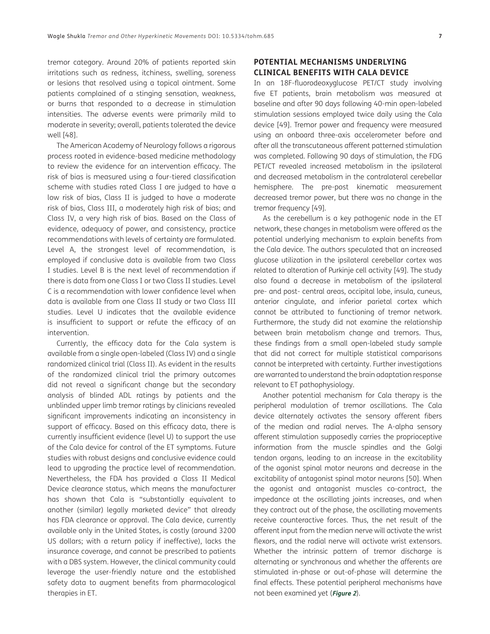tremor category. Around 20% of patients reported skin irritations such as redness, itchiness, swelling, soreness or lesions that resolved using a topical ointment. Some patients complained of a stinging sensation, weakness, or burns that responded to a decrease in stimulation intensities. The adverse events were primarily mild to moderate in severity; overall, patients tolerated the device well [\[48\]](#page-10-7).

The American Academy of Neurology follows a rigorous process rooted in evidence-based medicine methodology to review the evidence for an intervention efficacy. The risk of bias is measured using a four-tiered classification scheme with studies rated Class I are judged to have a low risk of bias, Class II is judged to have a moderate risk of bias, Class III, a moderately high risk of bias; and Class IV, a very high risk of bias. Based on the Class of evidence, adequacy of power, and consistency, practice recommendations with levels of certainty are formulated. Level A, the strongest level of recommendation, is employed if conclusive data is available from two Class I studies. Level B is the next level of recommendation if there is data from one Class I or two Class II studies. Level C is a recommendation with lower confidence level when data is available from one Class II study or two Class III studies. Level U indicates that the available evidence is insufficient to support or refute the efficacy of an intervention.

Currently, the efficacy data for the Cala system is available from a single open-labeled (Class IV) and a single randomized clinical trial (Class II). As evident in the results of the randomized clinical trial the primary outcomes did not reveal a significant change but the secondary analysis of blinded ADL ratings by patients and the unblinded upper limb tremor ratings by clinicians revealed significant improvements indicating an inconsistency in support of efficacy. Based on this efficacy data, there is currently insufficient evidence (level U) to support the use of the Cala device for control of the ET symptoms. Future studies with robust designs and conclusive evidence could lead to upgrading the practice level of recommendation. Nevertheless, the FDA has provided a Class II Medical Device clearance status, which means the manufacturer has shown that Cala is "substantially equivalent to another (similar) legally marketed device" that already has FDA clearance or approval. The Cala device, currently available only in the United States, is costly (around 3200 US dollars; with a return policy if ineffective), lacks the insurance coverage, and cannot be prescribed to patients with a DBS system. However, the clinical community could leverage the user-friendly nature and the established safety data to augment benefits from pharmacological therapies in ET.

# **POTENTIAL MECHANISMS UNDERLYING CLINICAL BENEFITS WITH CALA DEVICE**

In an 18F-fluorodeoxyglucose PET/CT study involving five ET patients, brain metabolism was measured at baseline and after 90 days following 40-min open-labeled stimulation sessions employed twice daily using the Cala device [\[49](#page-10-8)]. Tremor power and frequency were measured using an onboard three-axis accelerometer before and after all the transcutaneous afferent patterned stimulation was completed. Following 90 days of stimulation, the FDG PET/CT revealed increased metabolism in the ipsilateral and decreased metabolism in the contralateral cerebellar hemisphere. The pre-post kinematic measurement decreased tremor power, but there was no change in the tremor frequency [\[49\]](#page-10-8).

As the cerebellum is a key pathogenic node in the ET network, these changes in metabolism were offered as the potential underlying mechanism to explain benefits from the Cala device. The authors speculated that an increased glucose utilization in the ipsilateral cerebellar cortex was related to alteration of Purkinje cell activity [\[49](#page-10-8)]. The study also found a decrease in metabolism of the ipsilateral pre- and post- central areas, occipital lobe, insula, cuneus, anterior cingulate, and inferior parietal cortex which cannot be attributed to functioning of tremor network. Furthermore, the study did not examine the relationship between brain metabolism change and tremors. Thus, these findings from a small open-labeled study sample that did not correct for multiple statistical comparisons cannot be interpreted with certainty. Further investigations are warranted to understand the brain adaptation response relevant to ET pathophysiology.

Another potential mechanism for Cala therapy is the peripheral modulation of tremor oscillations. The Cala device alternately activates the sensory afferent fibers of the median and radial nerves. The A-alpha sensory afferent stimulation supposedly carries the proprioceptive information from the muscle spindles and the Golgi tendon organs, leading to an increase in the excitability of the agonist spinal motor neurons and decrease in the excitability of antagonist spinal motor neurons [[50\]](#page-10-9). When the agonist and antagonist muscles co-contract, the impedance at the oscillating joints increases, and when they contract out of the phase, the oscillating movements receive counteractive forces. Thus, the net result of the afferent input from the median nerve will activate the wrist flexors, and the radial nerve will activate wrist extensors. Whether the intrinsic pattern of tremor discharge is alternating or synchronous and whether the afferents are stimulated in-phase or out-of-phase will determine the final effects. These potential peripheral mechanisms have not been examined yet (**[Figure 2](#page-7-0)**).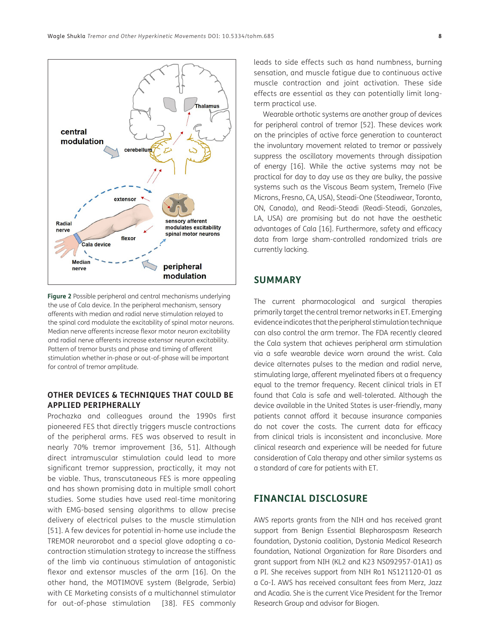

<span id="page-7-0"></span>**Figure 2** Possible peripheral and central mechanisms underlying the use of Cala device. In the peripheral mechanism, sensory afferents with median and radial nerve stimulation relayed to the spinal cord modulate the excitability of spinal motor neurons. Median nerve afferents increase flexor motor neuron excitability and radial nerve afferents increase extensor neuron excitability. Pattern of tremor bursts and phase and timing of afferent stimulation whether in-phase or out-of-phase will be important for control of tremor amplitude.

# **OTHER DEVICES & TECHNIQUES THAT COULD BE APPLIED PERIPHERALLY**

Prochazka and colleagues around the 1990s first pioneered FES that directly triggers muscle contractions of the peripheral arms. FES was observed to result in nearly 70% tremor improvement [[36](#page-9-18), [51](#page-10-10)]. Although direct intramuscular stimulation could lead to more significant tremor suppression, practically, it may not be viable. Thus, transcutaneous FES is more appealing and has shown promising data in multiple small cohort studies. Some studies have used real-time monitoring with EMG-based sensing algorithms to allow precise delivery of electrical pulses to the muscle stimulation [[51](#page-10-10)]. A few devices for potential in-home use include the TREMOR neurorobot and a special glove adopting a cocontraction stimulation strategy to increase the stiffness of the limb via continuous stimulation of antagonistic flexor and extensor muscles of the arm [[16\]](#page-8-15). On the other hand, the MOTIMOVE system (Belgrade, Serbia) with CE Marketing consists of a multichannel stimulator for out-of-phase stimulation [\[38](#page-9-19)]. FES commonly leads to side effects such as hand numbness, burning sensation, and muscle fatigue due to continuous active muscle contraction and joint activation. These side effects are essential as they can potentially limit longterm practical use.

Wearable orthotic systems are another group of devices for peripheral control of tremor [\[52\]](#page-10-11). These devices work on the principles of active force generation to counteract the involuntary movement related to tremor or passively suppress the oscillatory movements through dissipation of energy [\[16\]](#page-8-15). While the active systems may not be practical for day to day use as they are bulky, the passive systems such as the Viscous Beam system, Tremelo (Five Microns, Fresno, CA, USA), Steadi-One (Steadiwear, Toronto, ON, Canada), and Readi-Steadi (Readi-Steadi, Gonzales, LA, USA) are promising but do not have the aesthetic advantages of Cala [[16\]](#page-8-15). Furthermore, safety and efficacy data from large sham-controlled randomized trials are currently lacking.

# **SUMMARY**

The current pharmacological and surgical therapies primarily target the central tremor networks in ET. Emerging evidence indicates that the peripheral stimulation technique can also control the arm tremor. The FDA recently cleared the Cala system that achieves peripheral arm stimulation via a safe wearable device worn around the wrist. Cala device alternates pulses to the median and radial nerve, stimulating large, afferent myelinated fibers at a frequency equal to the tremor frequency. Recent clinical trials in ET found that Cala is safe and well-tolerated. Although the device available in the United States is user-friendly, many patients cannot afford it because insurance companies do not cover the costs. The current data for efficacy from clinical trials is inconsistent and inconclusive. More clinical research and experience will be needed for future consideration of Cala therapy and other similar systems as a standard of care for patients with ET.

# **FINANCIAL DISCLOSURE**

AWS reports grants from the NIH and has received grant support from Benign Essential Blepharospasm Research foundation, Dystonia coalition, Dystonia Medical Research foundation, National Organization for Rare Disorders and grant support from NIH (KL2 and K23 NS092957-01A1) as a PI. She receives support from NIH Ro1 NS121120-01 as a Co-I. AWS has received consultant fees from Merz, Jazz and Acadia. She is the current Vice President for the Tremor Research Group and advisor for Biogen.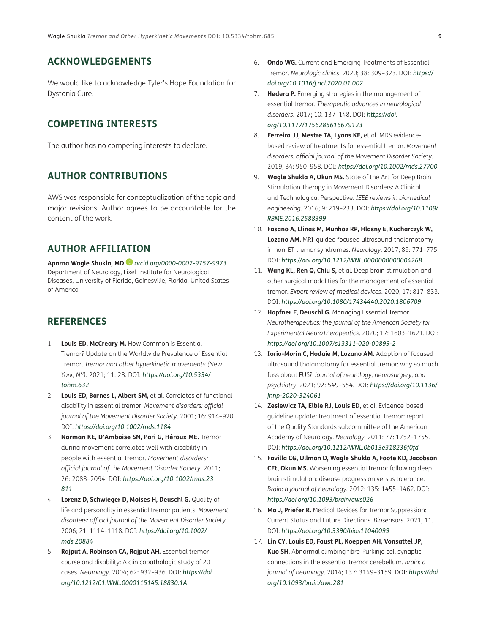# **ACKNOWLEDGEMENTS**

We would like to acknowledge Tyler's Hope Foundation for Dystonia Cure.

# **COMPETING INTERESTS**

The author has no competing interests to declare.

# **AUTHOR CONTRIBUTIONS**

AWS was responsible for conceptualization of the topic and major revisions. Author agrees to be accountable for the content of the work.

# **AUTHOR AFFILIATION**

**Aparna Wagle Shukla, MD***[orcid.org/0000-0002-9757-9973](https://orcid.org/0000-0002-9757-9973)* Department of Neurology, Fixel Institute for Neurological Diseases, University of Florida, Gainesville, Florida, United States of America

# **REFERENCES**

- <span id="page-8-0"></span>1. **Louis ED, McCreary M.** How Common is Essential Tremor? Update on the Worldwide Prevalence of Essential Tremor. *Tremor and other hyperkinetic movements (New York, NY)*. 2021; 11: 28. DOI: *[https://doi.org/10.5334/](https://doi.org/10.5334/tohm.632) [tohm.632](https://doi.org/10.5334/tohm.632)*
- <span id="page-8-1"></span>2. **Louis ED, Barnes L, Albert SM,** et al. Correlates of functional disability in essential tremor. *Movement disorders: official journal of the Movement Disorder Society*. 2001; 16: 914–920. DOI: *<https://doi.org/10.1002/mds.1184>*
- <span id="page-8-2"></span>3. **Norman KE, D'Amboise SN, Pari G, Héroux ME.** Tremor during movement correlates well with disability in people with essential tremor. *Movement disorders: official journal of the Movement Disorder Society*. 2011; 26: 2088–2094. DOI: *[https://doi.org/10.1002/mds.23](https://doi.org/10.1002/mds.23811) [811](https://doi.org/10.1002/mds.23811)*
- <span id="page-8-3"></span>4. **Lorenz D, Schwieger D, Moises H, Deuschl G.** Quality of life and personality in essential tremor patients. *Movement disorders: official journal of the Movement Disorder Society*. 2006; 21: 1114–1118. DOI: *[https://doi.org/10.1002/](https://doi.org/10.1002/mds.20884) [mds.20884](https://doi.org/10.1002/mds.20884)*
- <span id="page-8-4"></span>5. **Rajput A, Robinson CA, Rajput AH.** Essential tremor course and disability: A clinicopathologic study of 20 cases. *Neurology*. 2004; 62: 932–936. DOI: *[https://doi.](https://doi.org/10.1212/01.WNL.0000115145.18830.1A) [org/10.1212/01.WNL.0000115145.18830.1A](https://doi.org/10.1212/01.WNL.0000115145.18830.1A)*
- <span id="page-8-5"></span>6. **Ondo WG.** Current and Emerging Treatments of Essential Tremor. *Neurologic clinics*. 2020; 38: 309–323. DOI: *[https://](https://doi.org/10.1016/j.ncl.2020.01.002) [doi.org/10.1016/j.ncl.2020.01.002](https://doi.org/10.1016/j.ncl.2020.01.002)*
- <span id="page-8-6"></span>7. **Hedera P.** Emerging strategies in the management of essential tremor. *Therapeutic advances in neurological disorders*. 2017; 10: 137–148. DOI: *[https://doi.](https://doi.org/10.1177/1756285616679123) [org/10.1177/1756285616679123](https://doi.org/10.1177/1756285616679123)*
- <span id="page-8-7"></span>8. **Ferreira JJ, Mestre TA, Lyons KE,** et al. MDS evidencebased review of treatments for essential tremor. *Movement disorders: official journal of the Movement Disorder Society*. 2019; 34: 950–958. DOI: *<https://doi.org/10.1002/mds.27700>*
- <span id="page-8-8"></span>9. **Wagle Shukla A, Okun MS.** State of the Art for Deep Brain Stimulation Therapy in Movement Disorders: A Clinical and Technological Perspective. *IEEE reviews in biomedical engineering*. 2016; 9: 219–233. DOI: *[https://doi.org/10.1109/](https://doi.org/10.1109/RBME.2016.2588399) [RBME.2016.2588399](https://doi.org/10.1109/RBME.2016.2588399)*
- <span id="page-8-9"></span>10. **Fasano A, Llinas M, Munhoz RP, Hlasny E, Kucharczyk W, Lozano AM.** MRI-guided focused ultrasound thalamotomy in non-ET tremor syndromes. *Neurology*. 2017; 89: 771–775. DOI: *<https://doi.org/10.1212/WNL.0000000000004268>*
- <span id="page-8-10"></span>11. **Wang KL, Ren Q, Chiu S,** et al. Deep brain stimulation and other surgical modalities for the management of essential tremor. *Expert review of medical devices*. 2020; 17: 817–833. DOI: *<https://doi.org/10.1080/17434440.2020.1806709>*
- <span id="page-8-11"></span>12. **Hopfner F, Deuschl G.** Managing Essential Tremor. *Neurotherapeutics: the journal of the American Society for Experimental NeuroTherapeutics*. 2020; 17: 1603–1621. DOI: *<https://doi.org/10.1007/s13311-020-00899-2>*
- <span id="page-8-12"></span>13. **Iorio-Morin C, Hodaie M, Lozano AM.** Adoption of focused ultrasound thalamotomy for essential tremor: why so much fuss about FUS? *Journal of neurology, neurosurgery, and psychiatry*. 2021; 92: 549–554. DOI: *[https://doi.org/10.1136/](https://doi.org/10.1136/jnnp-2020-324061) [jnnp-2020-324061](https://doi.org/10.1136/jnnp-2020-324061)*
- <span id="page-8-13"></span>14. **Zesiewicz TA, Elble RJ, Louis ED,** et al. Evidence-based guideline update: treatment of essential tremor: report of the Quality Standards subcommittee of the American Academy of Neurology. *Neurology*. 2011; 77: 1752–1755. DOI: *<https://doi.org/10.1212/WNL.0b013e318236f0fd>*
- <span id="page-8-14"></span>15. **Favilla CG, Ullman D, Wagle Shukla A, Foote KD, Jacobson CEt, Okun MS.** Worsening essential tremor following deep brain stimulation: disease progression versus tolerance. *Brain: a journal of neurology*. 2012; 135: 1455–1462. DOI: *<https://doi.org/10.1093/brain/aws026>*
- <span id="page-8-15"></span>16. **Mo J, Priefer R.** Medical Devices for Tremor Suppression: Current Status and Future Directions. *Biosensors*. 2021; 11. DOI: *<https://doi.org/10.3390/bios11040099>*
- <span id="page-8-16"></span>17. **Lin CY, Louis ED, Faust PL, Koeppen AH, Vonsattel JP, Kuo SH.** Abnormal climbing fibre-Purkinje cell synaptic connections in the essential tremor cerebellum. *Brain: a journal of neurology*. 2014; 137: 3149–3159. DOI: *[https://doi.](https://doi.org/10.1093/brain/awu281) [org/10.1093/brain/awu281](https://doi.org/10.1093/brain/awu281)*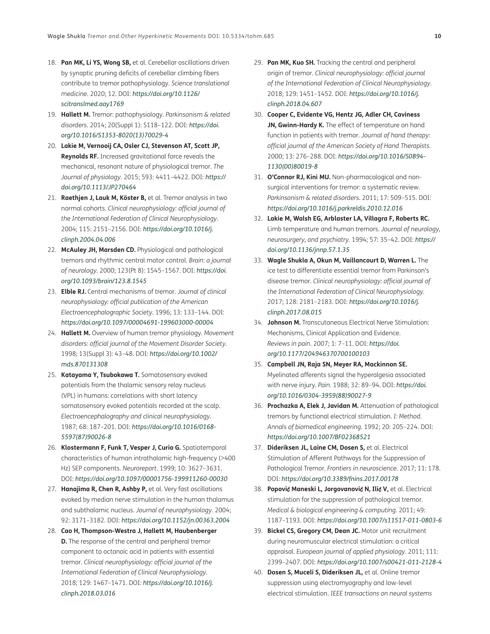- <span id="page-9-0"></span>18. **Pan MK, Li YS, Wong SB,** et al. Cerebellar oscillations driven by synaptic pruning deficits of cerebellar climbing fibers contribute to tremor pathophysiology. *Science translational medicine*. 2020; 12. DOI: *[https://doi.org/10.1126/](https://doi.org/10.1126/scitranslmed.aay1769) [scitranslmed.aay1769](https://doi.org/10.1126/scitranslmed.aay1769)*
- <span id="page-9-1"></span>19. **Hallett M.** Tremor: pathophysiology. *Parkinsonism & related disorders*. 2014; 20(Suppl 1): S118–122. DOI: *[https://doi.](https://doi.org/10.1016/S1353-8020(13)70029-4) [org/10.1016/S1353-8020\(13\)70029-4](https://doi.org/10.1016/S1353-8020(13)70029-4)*
- <span id="page-9-2"></span>20. **Lakie M, Vernooij CA, Osler CJ, Stevenson AT, Scott JP, Reynolds RF.** Increased gravitational force reveals the mechanical, resonant nature of physiological tremor. *The Journal of physiology*. 2015; 593: 4411–4422. DOI: *[https://](https://doi.org/10.1113/JP270464) [doi.org/10.1113/JP270464](https://doi.org/10.1113/JP270464)*
- <span id="page-9-3"></span>21. **Raethjen J, Lauk M, Köster B,** et al. Tremor analysis in two normal cohorts. *Clinical neurophysiology: official journal of the International Federation of Clinical Neurophysiology*. 2004; 115: 2151–2156. DOI: *[https://doi.org/10.1016/j.](https://doi.org/10.1016/j.clinph.2004.04.006) [clinph.2004.04.006](https://doi.org/10.1016/j.clinph.2004.04.006)*
- <span id="page-9-4"></span>22. **McAuley JH, Marsden CD.** Physiological and pathological tremors and rhythmic central motor control. *Brain: a journal of neurology*. 2000; 123(Pt 8): 1545–1567. DOI: *[https://doi.](https://doi.org/10.1093/brain/123.8.1545) [org/10.1093/brain/123.8.1545](https://doi.org/10.1093/brain/123.8.1545)*
- <span id="page-9-5"></span>23. **Elble RJ.** Central mechanisms of tremor. *Journal of clinical neurophysiology: official publication of the American Electroencephalographic Society*. 1996; 13: 133–144. DOI: *<https://doi.org/10.1097/00004691-199603000-00004>*
- <span id="page-9-6"></span>24. **Hallett M.** Overview of human tremor physiology. *Movement disorders: official journal of the Movement Disorder Society*. 1998; 13(Suppl 3): 43–48. DOI: *[https://doi.org/10.1002/](https://doi.org/10.1002/mds.870131308) [mds.870131308](https://doi.org/10.1002/mds.870131308)*
- <span id="page-9-7"></span>25. **Katayama Y, Tsubokawa T.** Somatosensory evoked potentials from the thalamic sensory relay nucleus (VPL) in humans: correlations with short latency somatosensory evoked potentials recorded at the scalp. *Electroencephalography and clinical neurophysiology*. 1987; 68: 187–201. DOI: *[https://doi.org/10.1016/0168-](https://doi.org/10.1016/0168-5597(87)90026-8) [5597\(87\)90026-8](https://doi.org/10.1016/0168-5597(87)90026-8)*
- <span id="page-9-8"></span>26. **Klostermann F, Funk T, Vesper J, Curio G.** Spatiotemporal characteristics of human intrathalamic high-frequency (>400 Hz) SEP components. *Neuroreport*. 1999; 10: 3627–3631. DOI: *<https://doi.org/10.1097/00001756-199911260-00030>*
- <span id="page-9-9"></span>27. **Hanajima R, Chen R, Ashby P,** et al. Very fast oscillations evoked by median nerve stimulation in the human thalamus and subthalamic nucleus. *Journal of neurophysiology*. 2004; 92: 3171–3182. DOI: *<https://doi.org/10.1152/jn.00363.2004>*
- <span id="page-9-10"></span>28. **Cao H, Thompson-Westra J, Hallett M, Haubenberger D.** The response of the central and peripheral tremor component to octanoic acid in patients with essential tremor. *Clinical neurophysiology: official journal of the International Federation of Clinical Neurophysiology*. 2018; 129: 1467–1471. DOI: *[https://doi.org/10.1016/j.](https://doi.org/10.1016/j.clinph.2018.03.016) [clinph.2018.03.016](https://doi.org/10.1016/j.clinph.2018.03.016)*
- <span id="page-9-11"></span>29. **Pan MK, Kuo SH.** Tracking the central and peripheral origin of tremor. *Clinical neurophysiology: official journal of the International Federation of Clinical Neurophysiology*. 2018; 129: 1451–1452. DOI: *[https://doi.org/10.1016/j.](https://doi.org/10.1016/j.clinph.2018.04.607) [clinph.2018.04.607](https://doi.org/10.1016/j.clinph.2018.04.607)*
- <span id="page-9-12"></span>30. **Cooper C, Evidente VG, Hentz JG, Adler CH, Caviness JN, Gwinn-Hardy K.** The effect of temperature on hand function in patients with tremor. *Journal of hand therapy: official journal of the American Society of Hand Therapists*. 2000; 13: 276–288. DOI: *[https://doi.org/10.1016/S0894-](https://doi.org/10.1016/S0894-1130(00)80019-8) [1130\(00\)80019-8](https://doi.org/10.1016/S0894-1130(00)80019-8)*
- <span id="page-9-13"></span>31. **O'Connor RJ, Kini MU.** Non-pharmacological and nonsurgical interventions for tremor: a systematic review. *Parkinsonism & related disorders*. 2011; 17: 509–515. DOI: *<https://doi.org/10.1016/j.parkreldis.2010.12.016>*
- <span id="page-9-14"></span>32. **Lakie M, Walsh EG, Arblaster LA, Villagra F, Roberts RC.** Limb temperature and human tremors. *Journal of neurology, neurosurgery, and psychiatry*. 1994; 57: 35–42. DOI: *[https://](https://doi.org/10.1136/jnnp.57.1.35) [doi.org/10.1136/jnnp.57.1.35](https://doi.org/10.1136/jnnp.57.1.35)*
- <span id="page-9-15"></span>33. **Wagle Shukla A, Okun M, Vaillancourt D, Warren L.** The ice test to differentiate essential tremor from Parkinson's disease tremor. *Clinical neurophysiology: official journal of the International Federation of Clinical Neurophysiology*. 2017; 128: 2181–2183. DOI: *[https://doi.org/10.1016/j.](https://doi.org/10.1016/j.clinph.2017.08.015) [clinph.2017.08.015](https://doi.org/10.1016/j.clinph.2017.08.015)*
- <span id="page-9-16"></span>34. **Johnson M.** Transcutaneous Electrical Nerve Stimulation: Mechanisms, Clinical Application and Evidence. *Reviews in pain*. 2007; 1: 7–11. DOI: *[https://doi.](https://doi.org/10.1177/204946370700100103) [org/10.1177/204946370700100103](https://doi.org/10.1177/204946370700100103)*
- <span id="page-9-17"></span>35. **Campbell JN, Raja SN, Meyer RA, Mackinnon SE.** Myelinated afferents signal the hyperalgesia associated with nerve injury. *Pain*. 1988; 32: 89–94. DOI: *[https://doi.](https://doi.org/10.1016/0304-3959(88)90027-9) [org/10.1016/0304-3959\(88\)90027-9](https://doi.org/10.1016/0304-3959(88)90027-9)*
- <span id="page-9-18"></span>36. **Prochazka A, Elek J, Javidan M.** Attenuation of pathological tremors by functional electrical stimulation. *I: Method. Annals of biomedical engineering*. 1992; 20: 205–224. DOI: *<https://doi.org/10.1007/BF02368521>*
- 37. **Dideriksen JL, Laine CM, Dosen S,** et al. Electrical Stimulation of Afferent Pathways for the Suppression of Pathological Tremor. *Frontiers in neuroscience*. 2017; 11: 178. DOI: *<https://doi.org/10.3389/fnins.2017.00178>*
- <span id="page-9-19"></span>38. **Popovi**ć **Maneski L, Jorgovanovi**ć **N, Ili**ć **V,** et al. Electrical stimulation for the suppression of pathological tremor. *Medical & biological engineering & computing*. 2011; 49: 1187–1193. DOI: *<https://doi.org/10.1007/s11517-011-0803-6>*
- <span id="page-9-20"></span>39. **Bickel CS, Gregory CM, Dean JC.** Motor unit recruitment during neuromuscular electrical stimulation: a critical appraisal. *European journal of applied physiology*. 2011; 111: 2399–2407. DOI: *<https://doi.org/10.1007/s00421-011-2128-4>*
- <span id="page-9-21"></span>40. **Dosen S, Muceli S, Dideriksen JL,** et al. Online tremor suppression using electromyography and low-level electrical stimulation. *IEEE transactions on neural systems*